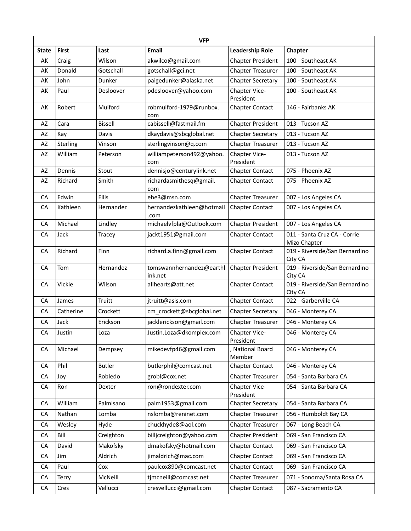|       | <b>VFP</b> |               |                                     |                            |                                              |  |  |
|-------|------------|---------------|-------------------------------------|----------------------------|----------------------------------------------|--|--|
| State | First      | Last          | <b>Email</b>                        | <b>Leadership Role</b>     | <b>Chapter</b>                               |  |  |
| AK    | Craig      | Wilson        | akwilco@gmail.com                   | <b>Chapter President</b>   | 100 - Southeast AK                           |  |  |
| AK    | Donald     | Gotschall     | gotschall@gci.net                   | <b>Chapter Treasurer</b>   | 100 - Southeast AK                           |  |  |
| AK    | John       | Dunker        | paigedunker@alaska.net              | <b>Chapter Secretary</b>   | 100 - Southeast AK                           |  |  |
| AK    | Paul       | Desloover     | pdesloover@yahoo.com                | Chapter Vice-<br>President | 100 - Southeast AK                           |  |  |
| AK    | Robert     | Mulford       | robmulford-1979@runbox.<br>com      | <b>Chapter Contact</b>     | 146 - Fairbanks AK                           |  |  |
| AZ    | Cara       | Bissell       | cabissell@fastmail.fm               | <b>Chapter President</b>   | 013 - Tucson AZ                              |  |  |
| AZ    | Kay        | Davis         | dkaydavis@sbcglobal.net             | <b>Chapter Secretary</b>   | 013 - Tucson AZ                              |  |  |
| AZ    | Sterling   | Vinson        | sterlingvinson@q.com                | <b>Chapter Treasurer</b>   | 013 - Tucson AZ                              |  |  |
| AZ    | William    | Peterson      | williampeterson492@yahoo.<br>com    | Chapter Vice-<br>President | 013 - Tucson AZ                              |  |  |
| AZ    | Dennis     | Stout         | dennisjo@centurylink.net            | <b>Chapter Contact</b>     | 075 - Phoenix AZ                             |  |  |
| AZ    | Richard    | Smith         | richardasmithesq@gmail.<br>com      | <b>Chapter Contact</b>     | 075 - Phoenix AZ                             |  |  |
| CA    | Edwin      | Ellis         | ehe3@msn.com                        | <b>Chapter Treasurer</b>   | 007 - Los Angeles CA                         |  |  |
| CA    | Kathleen   | Hernandez     | hernandezkathleen@hotmail<br>.com   | <b>Chapter Contact</b>     | 007 - Los Angeles CA                         |  |  |
| CA    | Michael    | Lindley       | michaelvfpla@Outlook.com            | <b>Chapter President</b>   | 007 - Los Angeles CA                         |  |  |
| CA    | Jack       | Tracey        | jackt1951@gmail.com                 | <b>Chapter Contact</b>     | 011 - Santa Cruz CA - Corrie<br>Mizo Chapter |  |  |
| CA    | Richard    | Finn          | richard.a.finn@gmail.com            | <b>Chapter Contact</b>     | 019 - Riverside/San Bernardino<br>City CA    |  |  |
| CA    | Tom        | Hernandez     | tomswannhernandez@earthl<br>ink.net | <b>Chapter President</b>   | 019 - Riverside/San Bernardino<br>City CA    |  |  |
| CA    | Vickie     | Wilson        | allhearts@att.net                   | <b>Chapter Contact</b>     | 019 - Riverside/San Bernardino<br>City CA    |  |  |
| CA    | James      | Truitt        | jtruitt@asis.com                    | <b>Chapter Contact</b>     | 022 - Garberville CA                         |  |  |
| CA    | Catherine  | Crockett      | cm crockett@sbcglobal.net           | <b>Chapter Secretary</b>   | 046 - Monterey CA                            |  |  |
| CA    | Jack       | Erickson      | jacklerickson@gmail.com             | <b>Chapter Treasurer</b>   | 046 - Monterey CA                            |  |  |
| CA    | Justin     | Loza          | Justin.Loza@dkomplex.com            | Chapter Vice-<br>President | 046 - Monterey CA                            |  |  |
| CA    | Michael    | Dempsey       | mikedevfp46@gmail.com               | , National Board<br>Member | 046 - Monterey CA                            |  |  |
| CA    | Phil       | <b>Butler</b> | butlerphil@comcast.net              | <b>Chapter Contact</b>     | 046 - Monterey CA                            |  |  |
| CA    | Joy        | Robledo       | grobl@cox.net                       | <b>Chapter Treasurer</b>   | 054 - Santa Barbara CA                       |  |  |
| CA    | Ron        | Dexter        | ron@rondexter.com                   | Chapter Vice-<br>President | 054 - Santa Barbara CA                       |  |  |
| СA    | William    | Palmisano     | palm1953@gmail.com                  | <b>Chapter Secretary</b>   | 054 - Santa Barbara CA                       |  |  |
| CA    | Nathan     | Lomba         | nslomba@reninet.com                 | <b>Chapter Treasurer</b>   | 056 - Humboldt Bay CA                        |  |  |
| CA    | Wesley     | Hyde          | chuckhyde8@aol.com                  | <b>Chapter Treasurer</b>   | 067 - Long Beach CA                          |  |  |
| CA    | Bill       | Creighton     | billjcreighton@yahoo.com            | <b>Chapter President</b>   | 069 - San Francisco CA                       |  |  |
| CA    | David      | Makofsky      | dmakofsky@hotmail.com               | <b>Chapter Contact</b>     | 069 - San Francisco CA                       |  |  |
| CA    | Jim        | Aldrich       | jimaldrich@mac.com                  | <b>Chapter Contact</b>     | 069 - San Francisco CA                       |  |  |
| CA    | Paul       | Cox           | paulcox890@comcast.net              | <b>Chapter Contact</b>     | 069 - San Francisco CA                       |  |  |
| CA    | Terry      | McNeill       | tjmcneill@comcast.net               | <b>Chapter Treasurer</b>   | 071 - Sonoma/Santa Rosa CA                   |  |  |
| CA    | Cres       | Vellucci      | cresvellucci@gmail.com              | <b>Chapter Contact</b>     | 087 - Sacramento CA                          |  |  |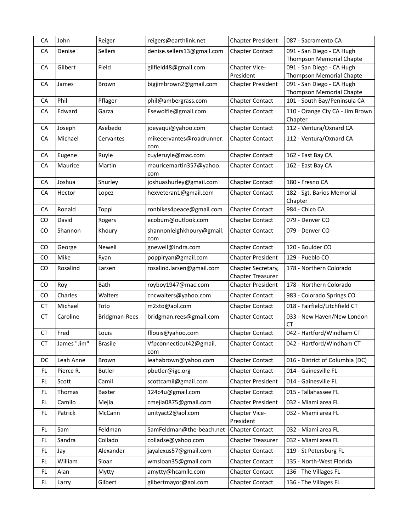| CA        | John        | Reiger         | reigers@earthlink.net            | <b>Chapter President</b>                       | 087 - Sacramento CA                                          |
|-----------|-------------|----------------|----------------------------------|------------------------------------------------|--------------------------------------------------------------|
| CA        | Denise      | Sellers        | denise.sellers13@gmail.com       | <b>Chapter Contact</b>                         | 091 - San Diego - CA Hugh<br><b>Thompson Memorial Chapte</b> |
| CA        | Gilbert     | Field          | gilfield48@gmail.com             | Chapter Vice-<br>President                     | 091 - San Diego - CA Hugh<br>Thompson Memorial Chapte        |
| CA        | James       | Brown          | bigjimbrown2@gmail.com           | <b>Chapter President</b>                       | 091 - San Diego - CA Hugh<br>Thompson Memorial Chapte        |
| CА        | Phil        | Pflager        | phil@ambergrass.com              | <b>Chapter Contact</b>                         | 101 - South Bay/Peninsula CA                                 |
| CA        | Edward      | Garza          | Esewolfie@gmail.com              | <b>Chapter Contact</b>                         | 110 - Orange Cty CA - Jim Brown<br>Chapter                   |
| CA        | Joseph      | Asebedo        | joeyaqui@yahoo.com               | <b>Chapter Contact</b>                         | 112 - Ventura/Oxnard CA                                      |
| CA        | Michael     | Cervantes      | mikecervantes@roadrunner.<br>com | <b>Chapter Contact</b>                         | 112 - Ventura/Oxnard CA                                      |
| CA        | Eugene      | Ruyle          | cuyleruyle@mac.com               | <b>Chapter Contact</b>                         | 162 - East Bay CA                                            |
| CA        | Maurice     | Martin         | mauricemartin357@yahoo.<br>com   | <b>Chapter Contact</b>                         | 162 - East Bay CA                                            |
| CA        | Joshua      | Shurley        | joshuashurley@gmail.com          | <b>Chapter Contact</b>                         | 180 - Fresno CA                                              |
| CA        | Hector      | Lopez          | hexveteran1@gmail.com            | <b>Chapter Contact</b>                         | 182 - Sgt. Barios Memorial<br>Chapter                        |
| CA        | Ronald      | Toppi          | ronbikes4peace@gmail.com         | <b>Chapter Contact</b>                         | 984 - Chico CA                                               |
| CO        | David       | Rogers         | ecobum@outlook.com               | <b>Chapter Contact</b>                         | 079 - Denver CO                                              |
| CO        | Shannon     | Khoury         | shannonleighkhoury@gmail.<br>com | <b>Chapter Contact</b>                         | 079 - Denver CO                                              |
| CO        | George      | Newell         | gnewell@indra.com                | <b>Chapter Contact</b>                         | 120 - Boulder CO                                             |
| CO.       | Mike        | Ryan           | poppiryan@gmail.com              | <b>Chapter President</b>                       | 129 - Pueblo CO                                              |
| CO        | Rosalind    | Larsen         | rosalind.larsen@gmail.com        | Chapter Secretary,<br><b>Chapter Treasurer</b> | 178 - Northern Colorado                                      |
| CO        | Roy         | Bath           | royboy1947@mac.com               | <b>Chapter President</b>                       | 178 - Northern Colorado                                      |
| CO        | Charles     | Walters        | cncwalters@yahoo.com             | <b>Chapter Contact</b>                         | 983 - Colorado Springs CO                                    |
| <b>CT</b> | Michael     | Toto           | m2xto@aol.com                    | <b>Chapter Contact</b>                         | 018 - Fairfield/Litchfield CT                                |
| <b>CT</b> | Caroline    | Bridgman-Rees  | bridgman.rees@gmail.com          | <b>Chapter Contact</b>                         | 033 - New Haven/New London<br><b>CT</b>                      |
| <b>CT</b> | Fred        | Louis          | fllouis@yahoo.com                | <b>Chapter Contact</b>                         | 042 - Hartford/Windham CT                                    |
| CT        | James "Jim" | <b>Brasile</b> | Vfpconnecticut42@gmail.<br>com   | <b>Chapter Contact</b>                         | 042 - Hartford/Windham CT                                    |
| DC        | Leah Anne   | <b>Brown</b>   | leahabrown@yahoo.com             | <b>Chapter Contact</b>                         | 016 - District of Columbia (DC)                              |
| FL.       | Pierce R.   | <b>Butler</b>  | pbutler@igc.org                  | <b>Chapter Contact</b>                         | 014 - Gainesville FL                                         |
| FL        | Scott       | Camil          | scottcamil@gmail.com             | <b>Chapter President</b>                       | 014 - Gainesville FL                                         |
| FL        | Thomas      | Baxter         | 124c4u@gmail.com                 | Chapter Contact                                | 015 - Tallahassee FL                                         |
| FL.       | Camilo      | Mejia          | cmejia0875@gmail.com             | <b>Chapter President</b>                       | 032 - Miami area FL                                          |
| FL        | Patrick     | McCann         | unityact2@aol.com                | Chapter Vice-<br>President                     | 032 - Miami area FL                                          |
| FL        | Sam         | Feldman        | SamFeldman@the-beach.net         | <b>Chapter Contact</b>                         | 032 - Miami area FL                                          |
| FL        | Sandra      | Collado        | colladse@yahoo.com               | Chapter Treasurer                              | 032 - Miami area FL                                          |
| FL.       | Jay         | Alexander      | jayalexus57@gmail.com            | <b>Chapter Contact</b>                         | 119 - St Petersburg FL                                       |
| FL        | William     | Sloan          | wmsloan35@gmail.com              | <b>Chapter Contact</b>                         | 135 - North-West Florida                                     |
| FL        | Alan        | Mytty          | amytty@hcamllc.com               | <b>Chapter Contact</b>                         | 136 - The Villages FL                                        |
| FL        | Larry       | Gilbert        | gilbertmayor@aol.com             | <b>Chapter Contact</b>                         | 136 - The Villages FL                                        |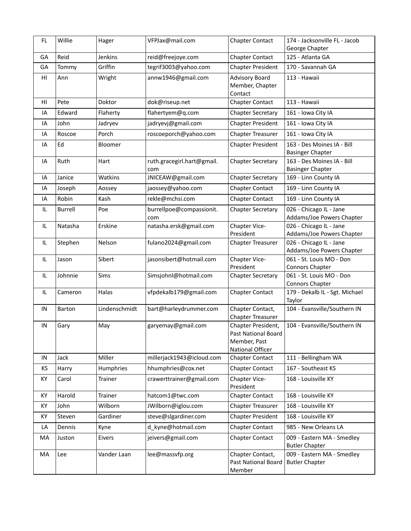| FL. | Willie  | Hager         | VFPJax@mail.com                   | <b>Chapter Contact</b>                                                        | 174 - Jacksonville FL - Jacob<br>George Chapter       |
|-----|---------|---------------|-----------------------------------|-------------------------------------------------------------------------------|-------------------------------------------------------|
| GA  | Reid    | Jenkins       | reid@freejoye.com                 | <b>Chapter Contact</b>                                                        | 125 - Atlanta GA                                      |
| GA  | Tommy   | Griffin       | tegrif3003@yahoo.com              | <b>Chapter President</b>                                                      | 170 - Savannah GA                                     |
| HI  | Ann     | Wright        | annw1946@gmail.com                | <b>Advisory Board</b><br>Member, Chapter<br>Contact                           | 113 - Hawaii                                          |
| HI  | Pete    | Doktor        | dok@riseup.net                    | <b>Chapter Contact</b>                                                        | 113 - Hawaii                                          |
| IA  | Edward  | Flaherty      | flahertyem@q.com                  | <b>Chapter Secretary</b>                                                      | 161 - Iowa City IA                                    |
| IA  | John    | Jadryev       | jadryevj@gmail.com                | <b>Chapter President</b>                                                      | 161 - Iowa City IA                                    |
| IA  | Roscoe  | Porch         | roscoeporch@yahoo.com             | <b>Chapter Treasurer</b>                                                      | 161 - Iowa City IA                                    |
| IA  | Ed      | Bloomer       |                                   | <b>Chapter President</b>                                                      | 163 - Des Moines IA - Bill<br><b>Basinger Chapter</b> |
| IA  | Ruth    | Hart          | ruth.gracegirl.hart@gmail.<br>com | <b>Chapter Secretary</b>                                                      | 163 - Des Moines IA - Bill<br><b>Basinger Chapter</b> |
| IA  | Janice  | Watkins       | JNICEAW@gmail.com                 | <b>Chapter Secretary</b>                                                      | 169 - Linn County IA                                  |
| IA  | Joseph  | Aossey        | jaossey@yahoo.com                 | <b>Chapter Contact</b>                                                        | 169 - Linn County IA                                  |
| IA  | Robin   | Kash          | rekle@mchsi.com                   | <b>Chapter Contact</b>                                                        | 169 - Linn County IA                                  |
| IL  | Burrell | Poe           | burrellpoe@compassionit.<br>com   | <b>Chapter Secretary</b>                                                      | 026 - Chicago IL - Jane<br>Addams/Joe Powers Chapter  |
| IL. | Natasha | Erskine       | natasha.ersk@gmail.com            | Chapter Vice-<br>President                                                    | 026 - Chicago IL - Jane<br>Addams/Joe Powers Chapter  |
| IL. | Stephen | Nelson        | fulano2024@gmail.com              | <b>Chapter Treasurer</b>                                                      | 026 - Chicago IL - Jane<br>Addams/Joe Powers Chapter  |
| IL  | Jason   | Sibert        | jasonsibert@hotmail.com           | Chapter Vice-<br>President                                                    | 061 - St. Louis MO - Don<br><b>Connors Chapter</b>    |
| IL. | Johnnie | Sims          | Simsjohnl@hotmail.com             | <b>Chapter Secretary</b>                                                      | 061 - St. Louis MO - Don<br><b>Connors Chapter</b>    |
| IL. | Cameron | Halas         | vfpdekalb179@gmail.com            | <b>Chapter Contact</b>                                                        | 179 - Dekalb IL - Sgt. Michael<br>Taylor              |
| IN  | Barton  | Lindenschmidt | bart@harleydrummer.com            | Chapter Contact,<br>Chapter Treasurer                                         | 104 - Evansville/Southern IN                          |
| IN  | Gary    | May           | garyemay@gmail.com                | Chapter President,<br>Past National Board<br>Member, Past<br>National Officer | 104 - Evansville/Southern IN                          |
| IN  | Jack    | Miller        | millerjack1943@icloud.com         | <b>Chapter Contact</b>                                                        | 111 - Bellingham WA                                   |
| KS. | Harry   | Humphries     | hhumphries@cox.net                | <b>Chapter Contact</b>                                                        | 167 - Southeast KS                                    |
| KY  | Carol   | Trainer       | crawerttrainer@gmail.com          | Chapter Vice-<br>President                                                    | 168 - Louisville KY                                   |
| KY  | Harold  | Trainer       | hatcom1@twc.com                   | <b>Chapter Contact</b>                                                        | 168 - Louisville KY                                   |
| KY  | John    | Wilborn       | JWilborn@iglou.com                | <b>Chapter Treasurer</b>                                                      | 168 - Louisville KY                                   |
| KY  | Steven  | Gardiner      | steve@slgardiner.com              | <b>Chapter President</b>                                                      | 168 - Louisville KY                                   |
| LA  | Dennis  | Kyne          | d_kyne@hotmail.com                | <b>Chapter Contact</b>                                                        | 985 - New Orleans LA                                  |
| MA  | Juston  | Eivers        | jeivers@gmail.com                 | <b>Chapter Contact</b>                                                        | 009 - Eastern MA - Smedley<br><b>Butler Chapter</b>   |
| MA  | Lee     | Vander Laan   | lee@massvfp.org                   | Chapter Contact,<br>Past National Board<br>Member                             | 009 - Eastern MA - Smedley<br><b>Butler Chapter</b>   |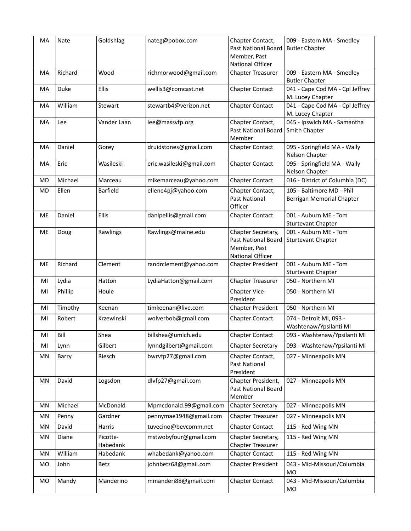| MA        | Nate    | Goldshlag            | nateg@pobox.com          | Chapter Contact,<br>Past National Board<br>Member, Past<br>National Officer   | 009 - Eastern MA - Smedley<br><b>Butler Chapter</b>    |
|-----------|---------|----------------------|--------------------------|-------------------------------------------------------------------------------|--------------------------------------------------------|
| MA        | Richard | Wood                 | richmorwood@gmail.com    | <b>Chapter Treasurer</b>                                                      | 009 - Eastern MA - Smedley<br><b>Butler Chapter</b>    |
| MA        | Duke    | Ellis                | wellis3@comcast.net      | <b>Chapter Contact</b>                                                        | 041 - Cape Cod MA - Cpl Jeffrey<br>M. Lucey Chapter    |
| MA        | William | Stewart              | stewartb4@verizon.net    | <b>Chapter Contact</b>                                                        | 041 - Cape Cod MA - Cpl Jeffrey<br>M. Lucey Chapter    |
| MA        | Lee     | Vander Laan          | lee@massvfp.org          | Chapter Contact,<br>Past National Board<br>Member                             | 045 - Ipswich MA - Samantha<br>Smith Chapter           |
| MA        | Daniel  | Gorey                | druidstones@gmail.com    | <b>Chapter Contact</b>                                                        | 095 - Springfield MA - Wally<br>Nelson Chapter         |
| MA        | Eric    | Wasileski            | eric.wasileski@gmail.com | <b>Chapter Contact</b>                                                        | 095 - Springfield MA - Wally<br>Nelson Chapter         |
| <b>MD</b> | Michael | Marceau              | mikemarceau@yahoo.com    | <b>Chapter Contact</b>                                                        | 016 - District of Columbia (DC)                        |
| <b>MD</b> | Ellen   | <b>Barfield</b>      | ellene4pj@yahoo.com      | Chapter Contact,<br><b>Past National</b><br>Officer                           | 105 - Baltimore MD - Phil<br>Berrigan Memorial Chapter |
| ME        | Daniel  | Ellis                | danlpellis@gmail.com     | <b>Chapter Contact</b>                                                        | 001 - Auburn ME - Tom<br><b>Sturtevant Chapter</b>     |
| <b>ME</b> | Doug    | Rawlings             | Rawlings@maine.edu       | Chapter Secretary,<br>Past National Board<br>Member, Past<br>National Officer | 001 - Auburn ME - Tom<br>Sturtevant Chapter            |
| <b>ME</b> | Richard | Clement              | randrclement@yahoo.com   | <b>Chapter President</b>                                                      | 001 - Auburn ME - Tom<br><b>Sturtevant Chapter</b>     |
| MI        | Lydia   | Hatton               | LydiaHatton@gmail.com    | <b>Chapter Treasurer</b>                                                      | 050 - Northern MI                                      |
| MI        | Phillip | Houle                |                          | Chapter Vice-<br>President                                                    | 050 - Northern MI                                      |
| MI        | Timothy | Keenan               | timkeenan@live.com       | <b>Chapter President</b>                                                      | 050 - Northern MI                                      |
| MI        | Robert  | Krzewinski           | wolverbob@gmail.com      | <b>Chapter Contact</b>                                                        | 074 - Detroit MI, 093 -<br>Washtenaw/Ypsilanti MI      |
| MI        | Bill    | Shea                 | billshea@umich.edu       | <b>Chapter Contact</b>                                                        | 093 - Washtenaw/Ypsilanti MI                           |
| MI        | Lynn    | Gilbert              | lynndgilbert@gmail.com   | <b>Chapter Secretary</b>                                                      | 093 - Washtenaw/Ypsilanti MI                           |
| ΜN        | Barry   | Riesch               | bwrvfp27@gmail.com       | Chapter Contact,<br>Past National<br>President                                | 027 - Minneapolis MN                                   |
| MN        | David   | Logsdon              | dlvfp27@gmail.com        | Chapter President,<br>Past National Board<br>Member                           | 027 - Minneapolis MN                                   |
| MN        | Michael | McDonald             | Mpmcdonald.99@gmail.com  | <b>Chapter Secretary</b>                                                      | 027 - Minneapolis MN                                   |
| ΜN        | Penny   | Gardner              | pennymae1948@gmail.com   | Chapter Treasurer                                                             | 027 - Minneapolis MN                                   |
| MN        | David   | Harris               | tuvecino@bevcomm.net     | <b>Chapter Contact</b>                                                        | 115 - Red Wing MN                                      |
| MN        | Diane   | Picotte-<br>Habedank | mstwobyfour@gmail.com    | Chapter Secretary,<br>Chapter Treasurer                                       | 115 - Red Wing MN                                      |
| MN        | William | Habedank             | whabedank@yahoo.com      | <b>Chapter Contact</b>                                                        | 115 - Red Wing MN                                      |
| MO        | John    | Betz                 | johnbetz68@gmail.com     | <b>Chapter President</b>                                                      | 043 - Mid-Missouri/Columbia<br><b>MO</b>               |
| MO        | Mandy   | Manderino            | mmanderi88@gmail.com     | <b>Chapter Contact</b>                                                        | 043 - Mid-Missouri/Columbia<br>MO                      |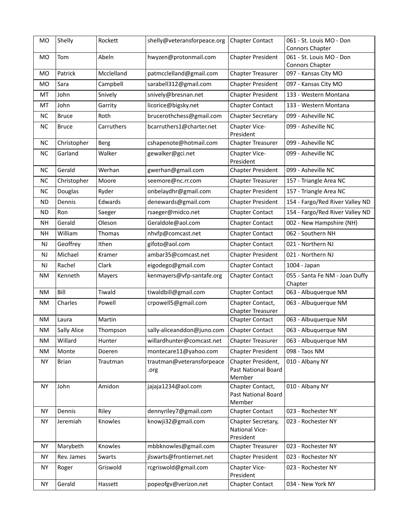| <b>MO</b> | Shelly             | Rockett    | shelly@veteransforpeace.org       | <b>Chapter Contact</b>                              | 061 - St. Louis MO - Don<br><b>Connors Chapter</b> |
|-----------|--------------------|------------|-----------------------------------|-----------------------------------------------------|----------------------------------------------------|
| <b>MO</b> | Tom                | Abeln      | hwyzen@protonmail.com             | <b>Chapter President</b>                            | 061 - St. Louis MO - Don<br><b>Connors Chapter</b> |
| <b>MO</b> | Patrick            | Mcclelland | patmcclelland@gmail.com           | <b>Chapter Treasurer</b>                            | 097 - Kansas City MO                               |
| MO        | Sara               | Campbell   | sarabell312@gmail.com             | <b>Chapter President</b>                            | 097 - Kansas City MO                               |
| MT        | John               | Snively    | snively@bresnan.net               | <b>Chapter President</b>                            | 133 - Western Montana                              |
| MT        | John               | Garrity    | licorice@bigsky.net               | <b>Chapter Contact</b>                              | 133 - Western Montana                              |
| <b>NC</b> | <b>Bruce</b>       | Roth       | brucerothchess@gmail.com          | <b>Chapter Secretary</b>                            | 099 - Asheville NC                                 |
| <b>NC</b> | <b>Bruce</b>       | Carruthers | bcarruthers1@charter.net          | Chapter Vice-<br>President                          | 099 - Asheville NC                                 |
| <b>NC</b> | Christopher        | Berg       | cshapenote@hotmail.com            | <b>Chapter Treasurer</b>                            | 099 - Asheville NC                                 |
| NC        | Garland            | Walker     | gewalker@gci.net                  | Chapter Vice-<br>President                          | 099 - Asheville NC                                 |
| <b>NC</b> | Gerald             | Werhan     | gwerhan@gmail.com                 | <b>Chapter President</b>                            | 099 - Asheville NC                                 |
| <b>NC</b> | Christopher        | Moore      | seemore@nc.rr.com                 | <b>Chapter Treasurer</b>                            | 157 - Triangle Area NC                             |
| <b>NC</b> | Douglas            | Ryder      | onbelaydhr@gmail.com              | <b>Chapter President</b>                            | 157 - Triangle Area NC                             |
| <b>ND</b> | Dennis             | Edwards    | denewards@gmail.com               | <b>Chapter President</b>                            | 154 - Fargo/Red River Valley ND                    |
| <b>ND</b> | Ron                | Saeger     | rsaeger@midco.net                 | <b>Chapter Contact</b>                              | 154 - Fargo/Red River Valley ND                    |
| <b>NH</b> | Gerald             | Oleson     | Geraldole@aol.com                 | <b>Chapter Contact</b>                              | 002 - New Hampshire (NH)                           |
| <b>NH</b> | William            | Thomas     | nhvfp@comcast.net                 | <b>Chapter Contact</b>                              | 062 - Southern NH                                  |
| <b>NJ</b> | Geoffrey           | Ithen      | gifoto@aol.com                    | <b>Chapter Contact</b>                              | 021 - Northern NJ                                  |
| <b>NJ</b> | Michael            | Kramer     | ambar35@comcast.net               | <b>Chapter President</b>                            | 021 - Northern NJ                                  |
| NJ.       | Rachel             | Clark      | eigodego@gmail.com                | <b>Chapter Contact</b>                              | 1004 - Japan                                       |
| ΝM        | Kenneth            | Mayers     | kenmayers@vfp-santafe.org         | <b>Chapter Contact</b>                              | 055 - Santa Fe NM - Joan Duffy<br>Chapter          |
| <b>NM</b> | Bill               | Tiwald     | tiwaldbill@gmail.com              | <b>Chapter Contact</b>                              | 063 - Albuquerque NM                               |
| <b>NM</b> | Charles            | Powell     | crpowell5@gmail.com               | Chapter Contact,<br><b>Chapter Treasurer</b>        | 063 - Albuquerque NM                               |
| <b>NM</b> | Laura              | Martin     |                                   | <b>Chapter Contact</b>                              | 063 - Albuquerque NM                               |
| <b>NM</b> | <b>Sally Alice</b> | Thompson   | sally-aliceanddon@juno.com        | <b>Chapter Contact</b>                              | 063 - Albuquerque NM                               |
| <b>NM</b> | Willard            | Hunter     | willardhunter@comcast.net         | <b>Chapter Treasurer</b>                            | 063 - Albuquerque NM                               |
| <b>NM</b> | Monte              | Doeren     | montecare11@yahoo.com             | <b>Chapter President</b>                            | 098 - Taos NM                                      |
| <b>NY</b> | <b>Brian</b>       | Trautman   | trautman@veteransforpeace<br>.org | Chapter President,<br>Past National Board<br>Member | 010 - Albany NY                                    |
| NY        | John               | Amidon     | jajaja1234@aol.com                | Chapter Contact,<br>Past National Board<br>Member   | 010 - Albany NY                                    |
| <b>NY</b> | Dennis             | Riley      | dennyriley7@gmail.com             | <b>Chapter Contact</b>                              | 023 - Rochester NY                                 |
| <b>NY</b> | Jeremiah           | Knowles    | knowji32@gmail.com                | Chapter Secretary,<br>National Vice-<br>President   | 023 - Rochester NY                                 |
| <b>NY</b> | Marybeth           | Knowles    | mbbknowles@gmail.com              | Chapter Treasurer                                   | 023 - Rochester NY                                 |
| <b>NY</b> | Rev. James         | Swarts     | jlswarts@frontiernet.net          | <b>Chapter President</b>                            | 023 - Rochester NY                                 |
| NY        | Roger              | Griswold   | rcgriswold@gmail.com              | Chapter Vice-<br>President                          | 023 - Rochester NY                                 |
| <b>NY</b> | Gerald             | Hassett    | popeofgv@verizon.net              | <b>Chapter Contact</b>                              | 034 - New York NY                                  |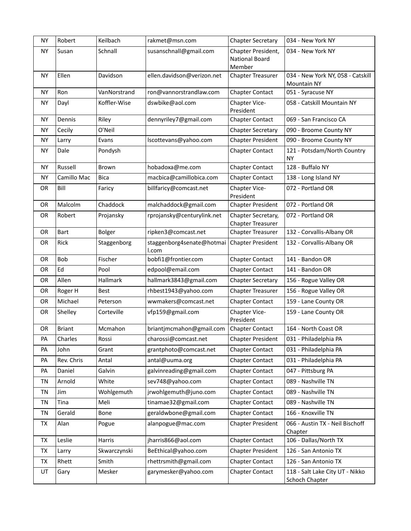| <b>NY</b> | Robert        | Keilbach      | rakmet@msn.com                     | <b>Chapter Secretary</b>                              | 034 - New York NY                                       |
|-----------|---------------|---------------|------------------------------------|-------------------------------------------------------|---------------------------------------------------------|
| <b>NY</b> | Susan         | Schnall       | susanschnall@gmail.com             | Chapter President,<br><b>National Board</b><br>Member | 034 - New York NY                                       |
| <b>NY</b> | Ellen         | Davidson      | ellen.davidson@verizon.net         | <b>Chapter Treasurer</b>                              | 034 - New York NY, 058 - Catskill<br><b>Mountain NY</b> |
| <b>NY</b> | Ron           | VanNorstrand  | ron@vannorstrandlaw.com            | <b>Chapter Contact</b>                                | 051 - Syracuse NY                                       |
| <b>NY</b> | Dayl          | Koffler-Wise  | dswbike@aol.com                    | Chapter Vice-<br>President                            | 058 - Catskill Mountain NY                              |
| <b>NY</b> | Dennis        | Riley         | dennyriley7@gmail.com              | Chapter Contact                                       | 069 - San Francisco CA                                  |
| <b>NY</b> | Cecily        | O'Neil        |                                    | <b>Chapter Secretary</b>                              | 090 - Broome County NY                                  |
| <b>NY</b> | Larry         | Evans         | lscottevans@yahoo.com              | <b>Chapter President</b>                              | 090 - Broome County NY                                  |
| <b>NY</b> | Dale          | Pondysh       |                                    | <b>Chapter Contact</b>                                | 121 - Potsdam/North Country<br><b>NY</b>                |
| <b>NY</b> | Russell       | <b>Brown</b>  | hobadoxa@me.com                    | <b>Chapter Contact</b>                                | 128 - Buffalo NY                                        |
| <b>NY</b> | Camillo Mac   | <b>Bica</b>   | macbica@camillobica.com            | <b>Chapter Contact</b>                                | 138 - Long Island NY                                    |
| <b>OR</b> | Bill          | Faricy        | billfaricy@comcast.net             | Chapter Vice-<br>President                            | 072 - Portland OR                                       |
| <b>OR</b> | Malcolm       | Chaddock      | malchaddock@gmail.com              | <b>Chapter President</b>                              | 072 - Portland OR                                       |
| <b>OR</b> | Robert        | Projansky     | rprojansky@centurylink.net         | Chapter Secretary,<br><b>Chapter Treasurer</b>        | 072 - Portland OR                                       |
| <b>OR</b> | <b>Bart</b>   | <b>Bolger</b> | ripken3@comcast.net                | <b>Chapter Treasurer</b>                              | 132 - Corvallis-Albany OR                               |
| OR        | Rick          | Staggenborg   | staggenborg4senate@hotmai<br>l.com | <b>Chapter President</b>                              | 132 - Corvallis-Albany OR                               |
| <b>OR</b> | Bob           | Fischer       | bobfi1@frontier.com                | <b>Chapter Contact</b>                                | 141 - Bandon OR                                         |
| OR        | Ed            | Pool          | edpool@email.com                   | <b>Chapter Contact</b>                                | 141 - Bandon OR                                         |
| <b>OR</b> | Allen         | Hallmark      | hallmark3843@gmail.com             | <b>Chapter Secretary</b>                              | 156 - Rogue Valley OR                                   |
| OR        | Roger H       | <b>Best</b>   | rhbest1943@yahoo.com               | <b>Chapter Treasurer</b>                              | 156 - Rogue Valley OR                                   |
| <b>OR</b> | Michael       | Peterson      | wwmakers@comcast.net               | <b>Chapter Contact</b>                                | 159 - Lane County OR                                    |
| OR        | Shelley       | Corteville    | vfp159@gmail.com                   | Chapter Vice-<br>President                            | 159 - Lane County OR                                    |
| OR        | <b>Briant</b> | Mcmahon       | briantjmcmahon@gmail.com           | <b>Chapter Contact</b>                                | 164 - North Coast OR                                    |
| PA        | Charles       | Rossi         | charossi@comcast.net               | <b>Chapter President</b>                              | 031 - Philadelphia PA                                   |
| PA        | John          | Grant         | grantphoto@comcast.net             | <b>Chapter Contact</b>                                | 031 - Philadelphia PA                                   |
| PA        | Rev. Chris    | Antal         | antal@uuma.org                     | <b>Chapter Contact</b>                                | 031 - Philadelphia PA                                   |
| PA        | Daniel        | Galvin        | galvinreading@gmail.com            | <b>Chapter Contact</b>                                | 047 - Pittsburg PA                                      |
| <b>TN</b> | Arnold        | White         | sev748@yahoo.com                   | <b>Chapter Contact</b>                                | 089 - Nashville TN                                      |
| TN        | Jim           | Wohlgemuth    | jrwohlgemuth@juno.com              | <b>Chapter Contact</b>                                | 089 - Nashville TN                                      |
| TN        | Tina          | Meli          | tinamae32@gmail.com                | <b>Chapter Contact</b>                                | 089 - Nashville TN                                      |
| TN        | Gerald        | Bone          | geraldwbone@gmail.com              | <b>Chapter Contact</b>                                | 166 - Knoxville TN                                      |
| TX        | Alan          | Pogue         | alanpogue@mac.com                  | <b>Chapter President</b>                              | 066 - Austin TX - Neil Bischoff<br>Chapter              |
| TX        | Leslie        | Harris        | jharris866@aol.com                 | <b>Chapter Contact</b>                                | 106 - Dallas/North TX                                   |
| TX        | Larry         | Skwarczynski  | BeEthical@yahoo.com                | <b>Chapter President</b>                              | 126 - San Antonio TX                                    |
| TX        | Rhett         | Smith         | rhettrsmith@gmail.com              | <b>Chapter Contact</b>                                | 126 - San Antonio TX                                    |
| UT        | Gary          | Mesker        | garymesker@yahoo.com               | <b>Chapter Contact</b>                                | 118 - Salt Lake City UT - Nikko<br>Schoch Chapter       |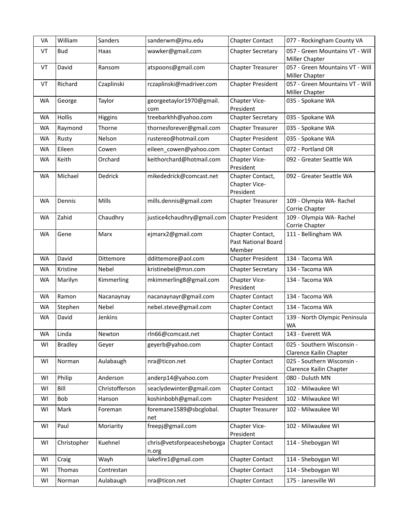| VA        | William        | Sanders          | sanderwm@jmu.edu                    | <b>Chapter Contact</b>                            | 077 - Rockingham County VA                            |
|-----------|----------------|------------------|-------------------------------------|---------------------------------------------------|-------------------------------------------------------|
| VT        | <b>Bud</b>     | Haas             | wawker@gmail.com                    | <b>Chapter Secretary</b>                          | 057 - Green Mountains VT - Will<br>Miller Chapter     |
| VT        | David          | Ransom           | atspoons@gmail.com                  | <b>Chapter Treasurer</b>                          | 057 - Green Mountains VT - Will<br>Miller Chapter     |
| VT        | Richard        | Czaplinski       | rczaplinski@madriver.com            | <b>Chapter President</b>                          | 057 - Green Mountains VT - Will<br>Miller Chapter     |
| <b>WA</b> | George         | Taylor           | georgeetaylor1970@gmail.<br>com     | Chapter Vice-<br>President                        | 035 - Spokane WA                                      |
| WA        | Hollis         | Higgins          | treebarkhh@yahoo.com                | <b>Chapter Secretary</b>                          | 035 - Spokane WA                                      |
| <b>WA</b> | Raymond        | Thorne           | thornesforever@gmail.com            | <b>Chapter Treasurer</b>                          | 035 - Spokane WA                                      |
| <b>WA</b> | Rusty          | Nelson           | rustereo@hotmail.com                | <b>Chapter President</b>                          | 035 - Spokane WA                                      |
| <b>WA</b> | Eileen         | Cowen            | eileen_cowen@yahoo.com              | <b>Chapter Contact</b>                            | 072 - Portland OR                                     |
| <b>WA</b> | Keith          | Orchard          | keithorchard@hotmail.com            | Chapter Vice-<br>President                        | 092 - Greater Seattle WA                              |
| <b>WA</b> | Michael        | Dedrick          | mikededrick@comcast.net             | Chapter Contact,<br>Chapter Vice-<br>President    | 092 - Greater Seattle WA                              |
| <b>WA</b> | Dennis         | Mills            | mills.dennis@gmail.com              | <b>Chapter Treasurer</b>                          | 109 - Olympia WA- Rachel<br>Corrie Chapter            |
| <b>WA</b> | Zahid          | Chaudhry         | justice4chaudhry@gmail.com          | <b>Chapter President</b>                          | 109 - Olympia WA- Rachel<br>Corrie Chapter            |
| <b>WA</b> | Gene           | Marx             | ejmarx2@gmail.com                   | Chapter Contact,<br>Past National Board<br>Member | 111 - Bellingham WA                                   |
| <b>WA</b> | David          | <b>Dittemore</b> | ddittemore@aol.com                  | <b>Chapter President</b>                          | 134 - Tacoma WA                                       |
| <b>WA</b> | Kristine       | Nebel            | kristinebel@msn.com                 | <b>Chapter Secretary</b>                          | 134 - Tacoma WA                                       |
| <b>WA</b> | Marilyn        | Kimmerling       | mkimmerling8@gmail.com              | Chapter Vice-<br>President                        | 134 - Tacoma WA                                       |
| <b>WA</b> | Ramon          | Nacanaynay       | nacanaynayr@gmail.com               | <b>Chapter Contact</b>                            | 134 - Tacoma WA                                       |
| <b>WA</b> | Stephen        | Nebel            | nebel.steve@gmail.com               | <b>Chapter Contact</b>                            | 134 - Tacoma WA                                       |
| <b>WA</b> | David          | Jenkins          |                                     | <b>Chapter Contact</b>                            | 139 - North Olympic Peninsula<br><b>WA</b>            |
| <b>WA</b> | Linda          | Newton           | rln66@comcast.net                   | <b>Chapter Contact</b>                            | 143 - Everett WA                                      |
| WI        | <b>Bradley</b> | Geyer            | geyerb@yahoo.com                    | <b>Chapter Contact</b>                            | 025 - Southern Wisconsin -<br>Clarence Kailin Chapter |
| WI        | Norman         | Aulabaugh        | nra@ticon.net                       | <b>Chapter Contact</b>                            | 025 - Southern Wisconsin -<br>Clarence Kailin Chapter |
| WI        | Philip         | Anderson         | anderp14@yahoo.com                  | <b>Chapter President</b>                          | 080 - Duluth MN                                       |
| WI        | Bill           | Christofferson   | seaclydewinter@gmail.com            | <b>Chapter Contact</b>                            | 102 - Milwaukee WI                                    |
| WI        | Bob            | Hanson           | koshinbobh@gmail.com                | <b>Chapter President</b>                          | 102 - Milwaukee WI                                    |
| WI        | Mark           | Foreman          | foremane1589@sbcglobal.<br>net      | <b>Chapter Treasurer</b>                          | 102 - Milwaukee WI                                    |
| WI        | Paul           | Moriarity        | freepj@gmail.com                    | Chapter Vice-<br>President                        | 102 - Milwaukee WI                                    |
| WI        | Christopher    | Kuehnel          | chris@vetsforpeacesheboyga<br>n.org | <b>Chapter Contact</b>                            | 114 - Sheboygan WI                                    |
| WI        | Craig          | Wayh             | lakefire1@gmail.com                 | <b>Chapter Contact</b>                            | 114 - Sheboygan WI                                    |
| WI        | Thomas         | Contrestan       |                                     | <b>Chapter Contact</b>                            | 114 - Sheboygan WI                                    |
| WI        | Norman         | Aulabaugh        | nra@ticon.net                       | <b>Chapter Contact</b>                            | 175 - Janesville WI                                   |